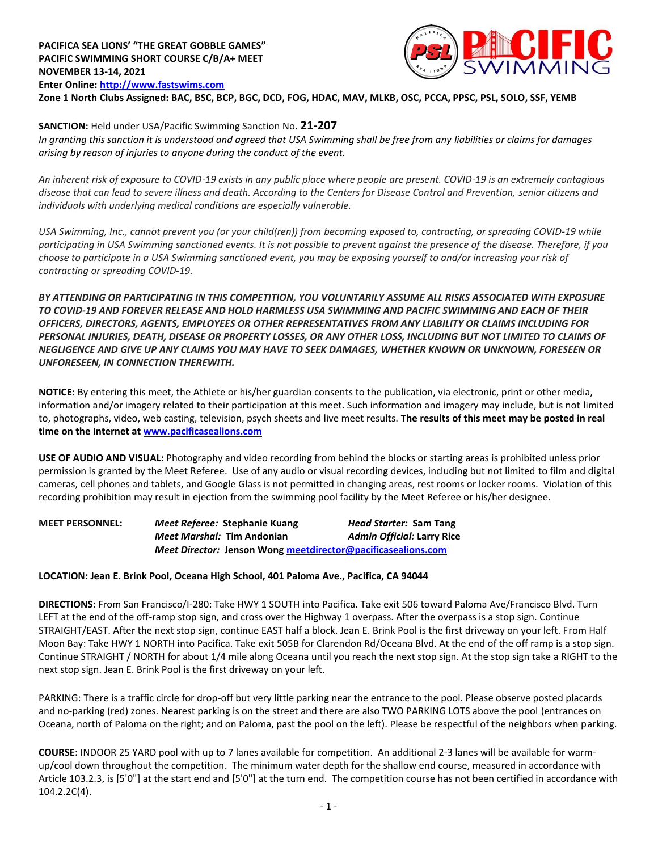

**Zone 1 North Clubs Assigned: BAC, BSC, BCP, BGC, DCD, FOG, HDAC, MAV, MLKB, OSC, PCCA, PPSC, PSL, SOLO, SSF, YEMB**

**SANCTION:** Held under USA/Pacific Swimming Sanction No. **21-207**

*In granting this sanction it is understood and agreed that USA Swimming shall be free from any liabilities or claims for damages arising by reason of injuries to anyone during the conduct of the event.* 

*An inherent risk of exposure to COVID-19 exists in any public place where people are present. COVID-19 is an extremely contagious disease that can lead to severe illness and death. According to the Centers for Disease Control and Prevention, senior citizens and individuals with underlying medical conditions are especially vulnerable.*

*USA Swimming, Inc., cannot prevent you (or your child(ren)) from becoming exposed to, contracting, or spreading COVID-19 while participating in USA Swimming sanctioned events. It is not possible to prevent against the presence of the disease. Therefore, if you choose to participate in a USA Swimming sanctioned event, you may be exposing yourself to and/or increasing your risk of contracting or spreading COVID-19.*

*BY ATTENDING OR PARTICIPATING IN THIS COMPETITION, YOU VOLUNTARILY ASSUME ALL RISKS ASSOCIATED WITH EXPOSURE TO COVID-19 AND FOREVER RELEASE AND HOLD HARMLESS USA SWIMMING AND PACIFIC SWIMMING AND EACH OF THEIR OFFICERS, DIRECTORS, AGENTS, EMPLOYEES OR OTHER REPRESENTATIVES FROM ANY LIABILITY OR CLAIMS INCLUDING FOR PERSONAL INJURIES, DEATH, DISEASE OR PROPERTY LOSSES, OR ANY OTHER LOSS, INCLUDING BUT NOT LIMITED TO CLAIMS OF NEGLIGENCE AND GIVE UP ANY CLAIMS YOU MAY HAVE TO SEEK DAMAGES, WHETHER KNOWN OR UNKNOWN, FORESEEN OR UNFORESEEN, IN CONNECTION THEREWITH.*

**NOTICE:** By entering this meet, the Athlete or his/her guardian consents to the publication, via electronic, print or other media, information and/or imagery related to their participation at this meet. Such information and imagery may include, but is not limited to, photographs, video, web casting, television, psych sheets and live meet results. **The results of this meet may be posted in real time on the Internet a[t www.pacificasealions.com](http://www.pacificasealions.com/)**

**USE OF AUDIO AND VISUAL:** Photography and video recording from behind the blocks or starting areas is prohibited unless prior permission is granted by the Meet Referee. Use of any audio or visual recording devices, including but not limited to film and digital cameras, cell phones and tablets, and Google Glass is not permitted in changing areas, rest rooms or locker rooms. Violation of this recording prohibition may result in ejection from the swimming pool facility by the Meet Referee or his/her designee.

**MEET PERSONNEL:** *Meet Referee:* **Stephanie Kuang** *Head Starter:* **Sam Tang** *Meet Marshal:* **Tim Andonian** *Admin Official:* **Larry Rice** *Meet Director:* **Jenson Won[g meetdirector@pacificasealions.com](mailto:meetdirector@pacificasealions.com)**

## **LOCATION: Jean E. Brink Pool, Oceana High School, 401 Paloma Ave., Pacifica, CA 94044**

**DIRECTIONS:** From San Francisco/I-280: Take HWY 1 SOUTH into Pacifica. Take exit 506 toward Paloma Ave/Francisco Blvd. Turn LEFT at the end of the off-ramp stop sign, and cross over the Highway 1 overpass. After the overpass is a stop sign. Continue STRAIGHT/EAST. After the next stop sign, continue EAST half a block. Jean E. Brink Pool is the first driveway on your left. From Half Moon Bay: Take HWY 1 NORTH into Pacifica. Take exit 505B for Clarendon Rd/Oceana Blvd. At the end of the off ramp is a stop sign. Continue STRAIGHT / NORTH for about 1/4 mile along Oceana until you reach the next stop sign. At the stop sign take a RIGHT to the next stop sign. Jean E. Brink Pool is the first driveway on your left.

PARKING: There is a traffic circle for drop-off but very little parking near the entrance to the pool. Please observe posted placards and no-parking (red) zones. Nearest parking is on the street and there are also TWO PARKING LOTS above the pool (entrances on Oceana, north of Paloma on the right; and on Paloma, past the pool on the left). Please be respectful of the neighbors when parking.

**COURSE:** INDOOR 25 YARD pool with up to 7 lanes available for competition. An additional 2-3 lanes will be available for warmup/cool down throughout the competition. The minimum water depth for the shallow end course, measured in accordance with Article 103.2.3, is [5'0"] at the start end and [5'0"] at the turn end. The competition course has not been certified in accordance with 104.2.2C(4).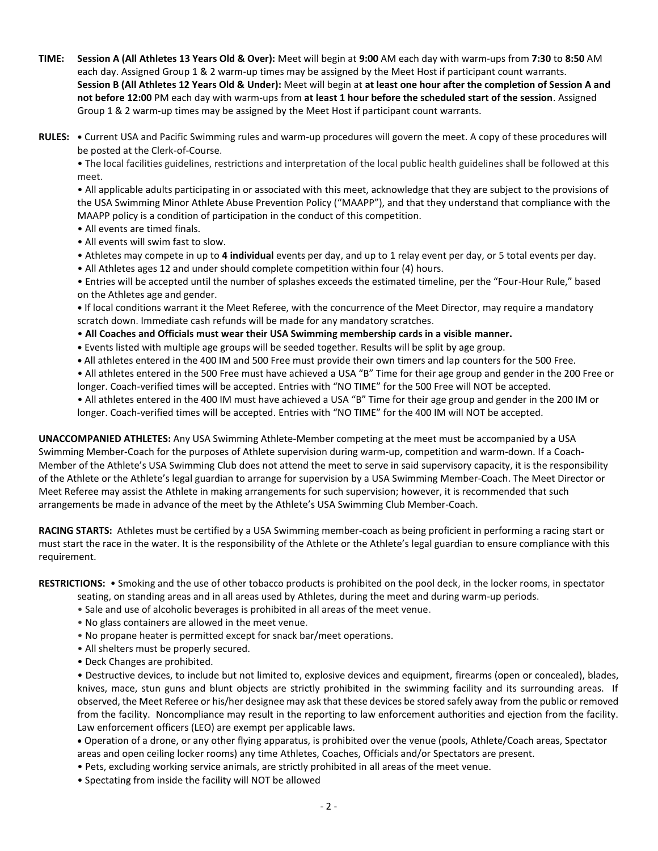- **TIME: Session A (All Athletes 13 Years Old & Over):** Meet will begin at **9:00** AM each day with warm-ups from **7:30** to **8:50** AM each day. Assigned Group 1 & 2 warm-up times may be assigned by the Meet Host if participant count warrants. **Session B (All Athletes 12 Years Old & Under):** Meet will begin at **at least one hour after the completion of Session A and not before 12:00** PM each day with warm-ups from **at least 1 hour before the scheduled start of the session**. Assigned Group 1 & 2 warm-up times may be assigned by the Meet Host if participant count warrants.
- **RULES: •** Current USA and Pacific Swimming rules and warm-up procedures will govern the meet. A copy of these procedures will be posted at the Clerk-of-Course.

• The local facilities guidelines, restrictions and interpretation of the local public health guidelines shall be followed at this meet.

• All applicable adults participating in or associated with this meet, acknowledge that they are subject to the provisions of the USA Swimming Minor Athlete Abuse Prevention Policy ("MAAPP"), and that they understand that compliance with the MAAPP policy is a condition of participation in the conduct of this competition.

- All events are timed finals.
- All events will swim fast to slow.
- Athletes may compete in up to **4 individual** events per day, and up to 1 relay event per day, or 5 total events per day.
- All Athletes ages 12 and under should complete competition within four (4) hours.
- Entries will be accepted until the number of splashes exceeds the estimated timeline, per the "Four-Hour Rule," based on the Athletes age and gender.
- **•** If local conditions warrant it the Meet Referee, with the concurrence of the Meet Director, may require a mandatory scratch down. Immediate cash refunds will be made for any mandatory scratches.
- **All Coaches and Officials must wear their USA Swimming membership cards in a visible manner.**
- **•** Events listed with multiple age groups will be seeded together. Results will be split by age group.
- **•** All athletes entered in the 400 IM and 500 Free must provide their own timers and lap counters for the 500 Free.
- All athletes entered in the 500 Free must have achieved a USA "B" Time for their age group and gender in the 200 Free or longer. Coach-verified times will be accepted. Entries with "NO TIME" for the 500 Free will NOT be accepted.
- All athletes entered in the 400 IM must have achieved a USA "B" Time for their age group and gender in the 200 IM or longer. Coach-verified times will be accepted. Entries with "NO TIME" for the 400 IM will NOT be accepted.

**UNACCOMPANIED ATHLETES:** Any USA Swimming Athlete-Member competing at the meet must be accompanied by a USA Swimming Member-Coach for the purposes of Athlete supervision during warm-up, competition and warm-down. If a Coach-Member of the Athlete's USA Swimming Club does not attend the meet to serve in said supervisory capacity, it is the responsibility of the Athlete or the Athlete's legal guardian to arrange for supervision by a USA Swimming Member-Coach. The Meet Director or Meet Referee may assist the Athlete in making arrangements for such supervision; however, it is recommended that such arrangements be made in advance of the meet by the Athlete's USA Swimming Club Member-Coach.

**RACING STARTS:** Athletes must be certified by a USA Swimming member-coach as being proficient in performing a racing start or must start the race in the water. It is the responsibility of the Athlete or the Athlete's legal guardian to ensure compliance with this requirement.

**RESTRICTIONS:** • Smoking and the use of other tobacco products is prohibited on the pool deck, in the locker rooms, in spectator

- seating, on standing areas and in all areas used by Athletes, during the meet and during warm-up periods.
- Sale and use of alcoholic beverages is prohibited in all areas of the meet venue.
- No glass containers are allowed in the meet venue.
- No propane heater is permitted except for snack bar/meet operations.
- All shelters must be properly secured.
- Deck Changes are prohibited.

• Destructive devices, to include but not limited to, explosive devices and equipment, firearms (open or concealed), blades, knives, mace, stun guns and blunt objects are strictly prohibited in the swimming facility and its surrounding areas. If observed, the Meet Referee or his/her designee may ask that these devices be stored safely away from the public or removed from the facility. Noncompliance may result in the reporting to law enforcement authorities and ejection from the facility. Law enforcement officers (LEO) are exempt per applicable laws.

 Operation of a drone, or any other flying apparatus, is prohibited over the venue (pools, Athlete/Coach areas, Spectator areas and open ceiling locker rooms) any time Athletes, Coaches, Officials and/or Spectators are present.

- Pets, excluding working service animals, are strictly prohibited in all areas of the meet venue.
- Spectating from inside the facility will NOT be allowed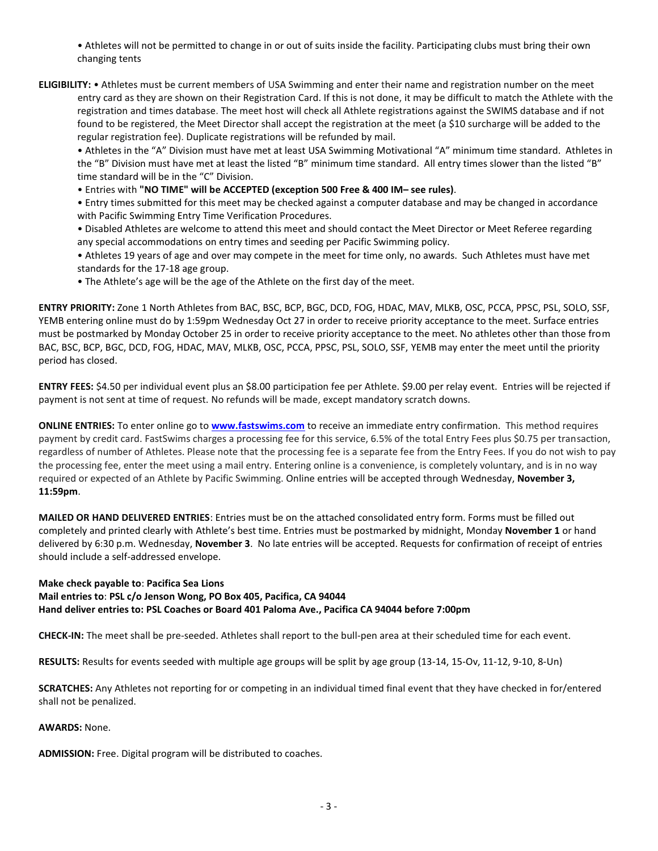• Athletes will not be permitted to change in or out of suits inside the facility. Participating clubs must bring their own changing tents

**ELIGIBILITY:** • Athletes must be current members of USA Swimming and enter their name and registration number on the meet entry card as they are shown on their Registration Card. If this is not done, it may be difficult to match the Athlete with the registration and times database. The meet host will check all Athlete registrations against the SWIMS database and if not found to be registered, the Meet Director shall accept the registration at the meet (a \$10 surcharge will be added to the regular registration fee). Duplicate registrations will be refunded by mail.

• Athletes in the "A" Division must have met at least USA Swimming Motivational "A" minimum time standard. Athletes in the "B" Division must have met at least the listed "B" minimum time standard. All entry times slower than the listed "B" time standard will be in the "C" Division.

• Entries with **"NO TIME" will be ACCEPTED (exception 500 Free & 400 IM– see rules)**.

• Entry times submitted for this meet may be checked against a computer database and may be changed in accordance with Pacific Swimming Entry Time Verification Procedures.

• Disabled Athletes are welcome to attend this meet and should contact the Meet Director or Meet Referee regarding any special accommodations on entry times and seeding per Pacific Swimming policy.

• Athletes 19 years of age and over may compete in the meet for time only, no awards. Such Athletes must have met standards for the 17-18 age group.

• The Athlete's age will be the age of the Athlete on the first day of the meet.

**ENTRY PRIORITY:** Zone 1 North Athletes from BAC, BSC, BCP, BGC, DCD, FOG, HDAC, MAV, MLKB, OSC, PCCA, PPSC, PSL, SOLO, SSF, YEMB entering online must do by 1:59pm Wednesday Oct 27 in order to receive priority acceptance to the meet. Surface entries must be postmarked by Monday October 25 in order to receive priority acceptance to the meet. No athletes other than those from BAC, BSC, BCP, BGC, DCD, FOG, HDAC, MAV, MLKB, OSC, PCCA, PPSC, PSL, SOLO, SSF, YEMB may enter the meet until the priority period has closed.

**ENTRY FEES:** \$4.50 per individual event plus an \$8.00 participation fee per Athlete. \$9.00 per relay event. Entries will be rejected if payment is not sent at time of request. No refunds will be made, except mandatory scratch downs.

**ONLINE ENTRIES:** To enter online go to **[www.fastswims.com](http://www.fastswims.com/)** to receive an immediate entry confirmation. This method requires payment by credit card. FastSwims charges a processing fee for this service, 6.5% of the total Entry Fees plus \$0.75 per transaction, regardless of number of Athletes. Please note that the processing fee is a separate fee from the Entry Fees. If you do not wish to pay the processing fee, enter the meet using a mail entry. Entering online is a convenience, is completely voluntary, and is in no way required or expected of an Athlete by Pacific Swimming. Online entries will be accepted through Wednesday, **November 3, 11:59pm**.

**MAILED OR HAND DELIVERED ENTRIES**: Entries must be on the attached consolidated entry form. Forms must be filled out completely and printed clearly with Athlete's best time. Entries must be postmarked by midnight, Monday **November 1** or hand delivered by 6:30 p.m. Wednesday, **November 3**. No late entries will be accepted. Requests for confirmation of receipt of entries should include a self-addressed envelope.

**Make check payable to**: **Pacifica Sea Lions**

**Mail entries to**: **PSL c/o Jenson Wong, PO Box 405, Pacifica, CA 94044**

**Hand deliver entries to: PSL Coaches or Board 401 Paloma Ave., Pacifica CA 94044 before 7:00pm**

**CHECK-IN:** The meet shall be pre-seeded. Athletes shall report to the bull-pen area at their scheduled time for each event.

**RESULTS:** Results for events seeded with multiple age groups will be split by age group (13-14, 15-Ov, 11-12, 9-10, 8-Un)

**SCRATCHES:** Any Athletes not reporting for or competing in an individual timed final event that they have checked in for/entered shall not be penalized.

**AWARDS:** None.

**ADMISSION:** Free. Digital program will be distributed to coaches.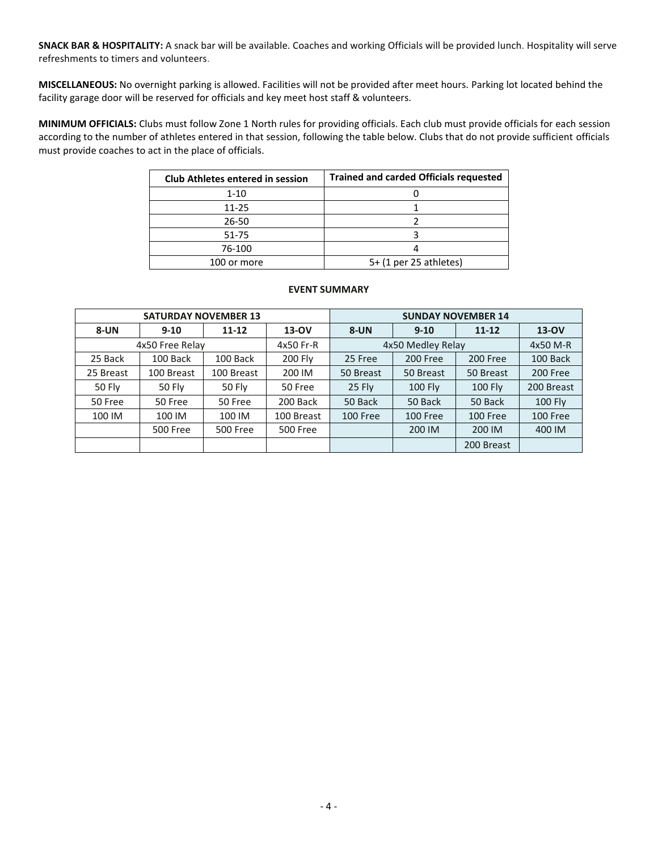**SNACK BAR & HOSPITALITY:** A snack bar will be available. Coaches and working Officials will be provided lunch. Hospitality will serve refreshments to timers and volunteers.

**MISCELLANEOUS:** No overnight parking is allowed. Facilities will not be provided after meet hours. Parking lot located behind the facility garage door will be reserved for officials and key meet host staff & volunteers.

**MINIMUM OFFICIALS:** Clubs must follow Zone 1 North rules for providing officials. Each club must provide officials for each session according to the number of athletes entered in that session, following the table below. Clubs that do not provide sufficient officials must provide coaches to act in the place of officials.

| <b>Club Athletes entered in session</b> | <b>Trained and carded Officials requested</b> |
|-----------------------------------------|-----------------------------------------------|
| $1 - 10$                                |                                               |
| $11 - 25$                               |                                               |
| 26-50                                   |                                               |
| 51-75                                   |                                               |
| 76-100                                  |                                               |
| 100 or more                             | 5+ (1 per 25 athletes)                        |

## **EVENT SUMMARY**

|               | <b>SATURDAY NOVEMBER 13</b> |                 |                 | <b>SUNDAY NOVEMBER 14</b> |           |                |                |  |  |
|---------------|-----------------------------|-----------------|-----------------|---------------------------|-----------|----------------|----------------|--|--|
| 8-UN          | $9 - 10$                    | $11 - 12$       | 13-OV           | $8 - UN$                  | $9 - 10$  | $11 - 12$      | 13-OV          |  |  |
|               | 4x50 Free Relay             |                 | 4x50 Fr-R       | 4x50 Medley Relay         | 4x50 M-R  |                |                |  |  |
| 25 Back       | 100 Back                    | 100 Back        | 200 Fly         | 25 Free                   | 200 Free  | 200 Free       | 100 Back       |  |  |
| 25 Breast     | 100 Breast                  | 100 Breast      | 200 IM          | 50 Breast                 | 50 Breast | 50 Breast      | 200 Free       |  |  |
| <b>50 Fly</b> | <b>50 Fly</b>               | <b>50 Fly</b>   | 50 Free         | 25 Fly                    | 100 Fly   | <b>100 Fly</b> | 200 Breast     |  |  |
| 50 Free       | 50 Free                     | 50 Free         | 200 Back        | 50 Back                   | 50 Back   | 50 Back        | <b>100 Fly</b> |  |  |
| 100 IM        | 100 IM                      | 100 IM          | 100 Breast      | 100 Free                  | 100 Free  | 100 Free       | 100 Free       |  |  |
|               | <b>500 Free</b>             | <b>500 Free</b> | <b>500 Free</b> |                           | 200 IM    | 200 IM         | 400 IM         |  |  |
|               |                             |                 |                 |                           |           | 200 Breast     |                |  |  |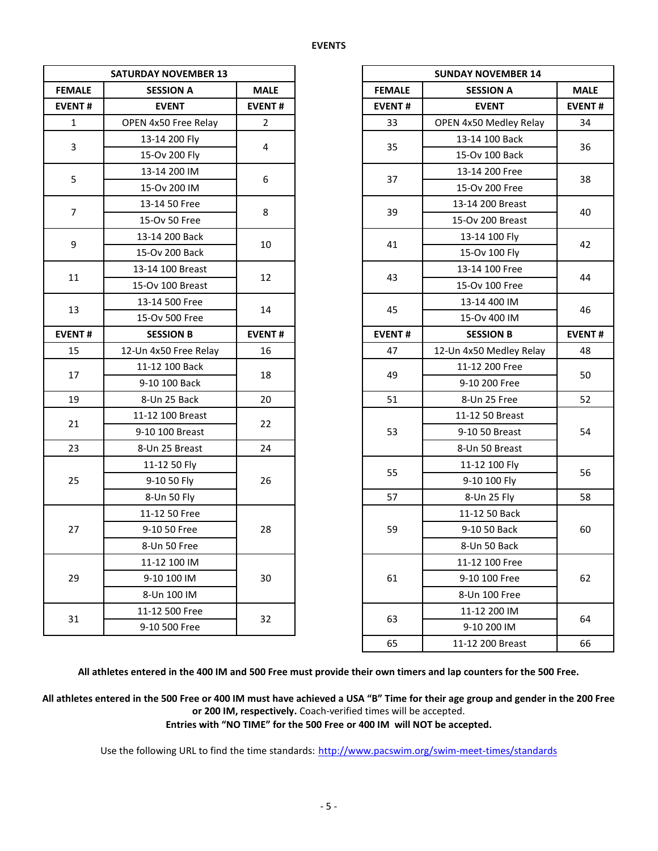|                | <b>SATURDAY NOVEMBER 13</b> |                |               | <b>SUNDAY NOVEMBER 14</b> |               |  |
|----------------|-----------------------------|----------------|---------------|---------------------------|---------------|--|
| <b>FEMALE</b>  | <b>SESSION A</b>            |                | <b>FEMALE</b> | <b>SESSION A</b>          | <b>MALE</b>   |  |
| <b>EVENT#</b>  | <b>EVENT</b>                | <b>EVENT#</b>  | <b>EVENT#</b> | <b>EVENT</b>              | <b>EVENT#</b> |  |
| $\mathbf{1}$   | OPEN 4x50 Free Relay        | $\overline{2}$ | 33            | OPEN 4x50 Medley Relay    |               |  |
|                | 13-14 200 Fly               |                |               | 13-14 100 Back            |               |  |
| $\overline{3}$ | 15-Ov 200 Fly               | 4              | 35            | 15-Ov 100 Back            |               |  |
|                | 13-14 200 IM                |                |               | 13-14 200 Free            |               |  |
| 5              | 15-Ov 200 IM                | 6              | 37            | 15-Ov 200 Free            |               |  |
|                | 13-14 50 Free               |                |               | 13-14 200 Breast          |               |  |
| $\overline{7}$ | 15-Ov 50 Free               | 8              | 39            | 15-Ov 200 Breast          |               |  |
|                | 13-14 200 Back              |                |               | 13-14 100 Fly             |               |  |
| 9              | 15-Ov 200 Back              | 10             | 41            | 15-Ov 100 Fly             | 42            |  |
|                | 13-14 100 Breast            |                |               | 13-14 100 Free            |               |  |
| 11             | 15-Ov 100 Breast            | 12             | 43            | 15-Ov 100 Free            |               |  |
|                | 13-14 500 Free              |                |               | 13-14 400 IM              |               |  |
| 13             | 15-Ov 500 Free              | 14             | 45            | 15-Ov 400 IM              | 46            |  |
| <b>EVENT#</b>  | <b>SESSION B</b>            | <b>EVENT#</b>  | <b>EVENT#</b> | <b>SESSION B</b>          | <b>EVENT#</b> |  |
| 15             | 12-Un 4x50 Free Relay       | 16             | 47            | 12-Un 4x50 Medley Relay   |               |  |
|                | 11-12 100 Back              |                |               | 11-12 200 Free            | 50            |  |
| 17             | 9-10 100 Back               | 18             | 49            | 9-10 200 Free             |               |  |
| 19             | 8-Un 25 Back                | 20             | 51            | 8-Un 25 Free              |               |  |
|                | 11-12 100 Breast            |                |               | 11-12 50 Breast           |               |  |
| 21             | 9-10 100 Breast             | 22             | 53            | 9-10 50 Breast            | 54            |  |
| 23             | 8-Un 25 Breast              | 24             |               | 8-Un 50 Breast            |               |  |
|                | 11-12 50 Fly                |                |               | 11-12 100 Fly             |               |  |
| 25             | 9-10 50 Fly                 | 26             | 55            | 9-10 100 Fly              |               |  |
|                | 8-Un 50 Fly                 |                | 57            | 8-Un 25 Fly               |               |  |
|                | 11-12 50 Free               |                |               | 11-12 50 Back             |               |  |
| 27             | 9-10 50 Free                | 28             | 59            | 9-10 50 Back              | 60            |  |
|                | 8-Un 50 Free                |                |               | 8-Un 50 Back              |               |  |
|                | 11-12 100 IM                |                |               | 11-12 100 Free            |               |  |
| 29             | 9-10 100 IM                 | 30             | 61            | 9-10 100 Free             |               |  |
|                | 8-Un 100 IM                 |                |               | 8-Un 100 Free             |               |  |
|                | 11-12 500 Free              |                |               | 11-12 200 IM              |               |  |
| 31             | 9-10 500 Free               | 32             | 63            | 9-10 200 IM               |               |  |

|                | <b>SATURDAY NOVEMBER 13</b> |                |
|----------------|-----------------------------|----------------|
| <b>ALE</b>     | <b>SESSION A</b>            | <b>MALE</b>    |
| NT#            | <b>EVENT</b>                | <b>EVENT#</b>  |
|                | OPEN 4x50 Free Relay        | $\overline{2}$ |
|                | 13-14 200 Fly               | $\overline{4}$ |
|                | 15-Ov 200 Fly               |                |
| 5              | 13-14 200 IM                | 6              |
|                | 15-Ov 200 IM                |                |
| 7              | 13-14 50 Free               | 8              |
|                | 15-Ov 50 Free               |                |
| 9              | 13-14 200 Back              | 10             |
|                | 15-Ov 200 Back              |                |
| $\overline{1}$ | 13-14 100 Breast            | 12             |
|                | 15-Ov 100 Breast            |                |
|                | 13-14 500 Free              | 14             |
| L3             | 15-Ov 500 Free              |                |
| NT#            | <b>SESSION B</b>            | <b>EVENT#</b>  |
| L5             | 12-Un 4x50 Free Relay       | 16             |
| L7             | 11-12 100 Back              | 18             |
|                | 9-10 100 Back               |                |
| L9             | 8-Un 25 Back                | 20             |
|                | 11-12 100 Breast            |                |
| $^{21}$        | 9-10 100 Breast             | 22             |
| 23             | 8-Un 25 Breast              | 24             |
|                | 11-12 50 Fly                |                |
| 25             | 9-10 50 Fly                 | 26             |
|                | 8-Un 50 Fly                 |                |
|                | 11-12 50 Free               |                |
| 27             | 9-10 50 Free                | 28             |
|                | 8-Un 50 Free                |                |
|                | 11-12 100 IM                |                |
| 29             | 9-10 100 IM                 | 30             |
|                | 8-Un 100 IM                 |                |
|                | 11-12 500 Free              |                |
| 31             | 9-10 500 Free               | 32             |
|                |                             |                |

**All athletes entered in the 400 IM and 500 Free must provide their own timers and lap counters for the 500 Free.**

**All athletes entered in the 500 Free or 400 IM must have achieved a USA "B" Time for their age group and gender in the 200 Free or 200 IM, respectively.** Coach-verified times will be accepted.

**Entries with "NO TIME" for the 500 Free or 400 IM will NOT be accepted.**

Use the following URL to find the time standards: <http://www.pacswim.org/swim-meet-times/standards>